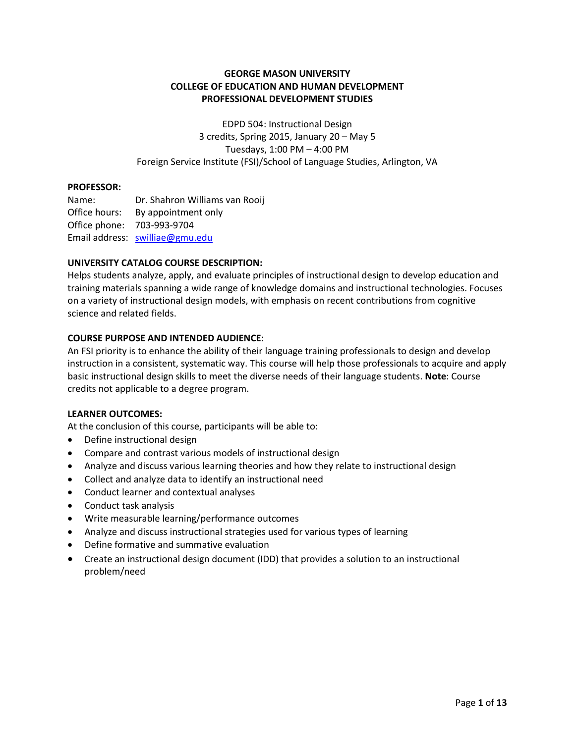### **GEORGE MASON UNIVERSITY COLLEGE OF EDUCATION AND HUMAN DEVELOPMENT PROFESSIONAL DEVELOPMENT STUDIES**

EDPD 504: Instructional Design 3 credits, Spring 2015, January 20 – May 5 Tuesdays, 1:00 PM – 4:00 PM Foreign Service Institute (FSI)/School of Language Studies, Arlington, VA

#### **PROFESSOR:**

Name: Dr. Shahron Williams van Rooij Office hours: By appointment only Office phone: 703-993-9704 Email address: [swilliae@gmu.edu](mailto:swilliae@gmu.edu)

### **UNIVERSITY CATALOG COURSE DESCRIPTION:**

Helps students analyze, apply, and evaluate principles of instructional design to develop education and training materials spanning a wide range of knowledge domains and instructional technologies. Focuses on a variety of instructional design models, with emphasis on recent contributions from cognitive science and related fields.

#### **COURSE PURPOSE AND INTENDED AUDIENCE**:

An FSI priority is to enhance the ability of their language training professionals to design and develop instruction in a consistent, systematic way. This course will help those professionals to acquire and apply basic instructional design skills to meet the diverse needs of their language students. **Note**: Course credits not applicable to a degree program.

#### **LEARNER OUTCOMES:**

At the conclusion of this course, participants will be able to:

- Define instructional design
- Compare and contrast various models of instructional design
- Analyze and discuss various learning theories and how they relate to instructional design
- Collect and analyze data to identify an instructional need
- Conduct learner and contextual analyses
- Conduct task analysis
- Write measurable learning/performance outcomes
- Analyze and discuss instructional strategies used for various types of learning
- Define formative and summative evaluation
- Create an instructional design document (IDD) that provides a solution to an instructional problem/need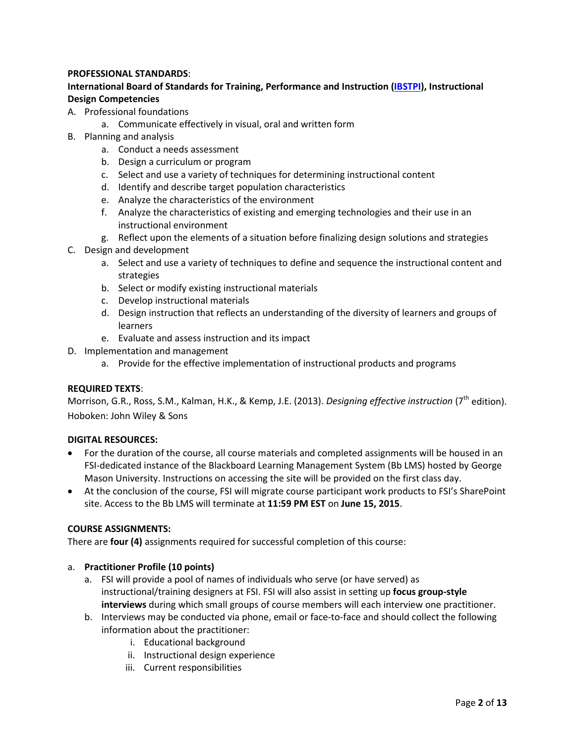### **PROFESSIONAL STANDARDS**:

### **International Board of Standards for Training, Performance and Instruction [\(IBSTPI\)](http://ibstpi.org/downloads/InstructionalDesignCompetencies.pdf), Instructional Design Competencies**

- A. Professional foundations
	- a. Communicate effectively in visual, oral and written form
- B. Planning and analysis
	- a. Conduct a needs assessment
	- b. Design a curriculum or program
	- c. Select and use a variety of techniques for determining instructional content
	- d. Identify and describe target population characteristics
	- e. Analyze the characteristics of the environment
	- f. Analyze the characteristics of existing and emerging technologies and their use in an instructional environment
	- g. Reflect upon the elements of a situation before finalizing design solutions and strategies
- C. Design and development
	- a. Select and use a variety of techniques to define and sequence the instructional content and strategies
	- b. Select or modify existing instructional materials
	- c. Develop instructional materials
	- d. Design instruction that reflects an understanding of the diversity of learners and groups of learners
	- e. Evaluate and assess instruction and its impact
- D. Implementation and management
	- a. Provide for the effective implementation of instructional products and programs

### **REQUIRED TEXTS**:

Morrison, G.R., Ross, S.M., Kalman, H.K., & Kemp, J.E. (2013). *Designing effective instruction* (7<sup>th</sup> edition). Hoboken: John Wiley & Sons

### **DIGITAL RESOURCES:**

- For the duration of the course, all course materials and completed assignments will be housed in an FSI-dedicated instance of the Blackboard Learning Management System (Bb LMS) hosted by George Mason University. Instructions on accessing the site will be provided on the first class day.
- At the conclusion of the course, FSI will migrate course participant work products to FSI's SharePoint site. Access to the Bb LMS will terminate at **11:59 PM EST** on **June 15, 2015**.

### **COURSE ASSIGNMENTS:**

There are **four (4)** assignments required for successful completion of this course:

### a. **Practitioner Profile (10 points)**

- a. FSI will provide a pool of names of individuals who serve (or have served) as instructional/training designers at FSI. FSI will also assist in setting up **focus group-style interviews** during which small groups of course members will each interview one practitioner.
- b. Interviews may be conducted via phone, email or face-to-face and should collect the following information about the practitioner:
	- i. Educational background
	- ii. Instructional design experience
	- iii. Current responsibilities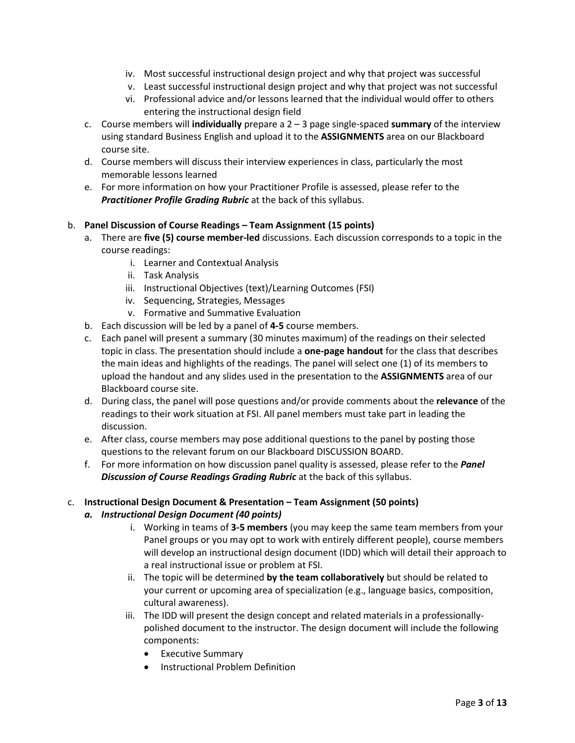- iv. Most successful instructional design project and why that project was successful
- v. Least successful instructional design project and why that project was not successful
- vi. Professional advice and/or lessons learned that the individual would offer to others entering the instructional design field
- c. Course members will **individually** prepare a 2 3 page single-spaced **summary** of the interview using standard Business English and upload it to the **ASSIGNMENTS** area on our Blackboard course site.
- d. Course members will discuss their interview experiences in class, particularly the most memorable lessons learned
- e. For more information on how your Practitioner Profile is assessed, please refer to the *Practitioner Profile Grading Rubric* at the back of this syllabus.

### b. **Panel Discussion of Course Readings – Team Assignment (15 points)**

- a. There are **five (5) course member-led** discussions. Each discussion corresponds to a topic in the course readings:
	- i. Learner and Contextual Analysis
	- ii. Task Analysis
	- iii. Instructional Objectives (text)/Learning Outcomes (FSI)
	- iv. Sequencing, Strategies, Messages
	- v. Formative and Summative Evaluation
- b. Each discussion will be led by a panel of **4-5** course members.
- c. Each panel will present a summary (30 minutes maximum) of the readings on their selected topic in class. The presentation should include a **one-page handout** for the class that describes the main ideas and highlights of the readings. The panel will select one (1) of its members to upload the handout and any slides used in the presentation to the **ASSIGNMENTS** area of our Blackboard course site.
- d. During class, the panel will pose questions and/or provide comments about the **relevance** of the readings to their work situation at FSI. All panel members must take part in leading the discussion.
- e. After class, course members may pose additional questions to the panel by posting those questions to the relevant forum on our Blackboard DISCUSSION BOARD.
- f. For more information on how discussion panel quality is assessed, please refer to the *Panel Discussion of Course Readings Grading Rubric* at the back of this syllabus.

### c. **Instructional Design Document & Presentation – Team Assignment (50 points)**

### *a. Instructional Design Document (40 points)*

- i. Working in teams of **3-5 members** (you may keep the same team members from your Panel groups or you may opt to work with entirely different people), course members will develop an instructional design document (IDD) which will detail their approach to a real instructional issue or problem at FSI.
- ii. The topic will be determined **by the team collaboratively** but should be related to your current or upcoming area of specialization (e.g., language basics, composition, cultural awareness).
- iii. The IDD will present the design concept and related materials in a professionallypolished document to the instructor. The design document will include the following components:
	- Executive Summary
	- Instructional Problem Definition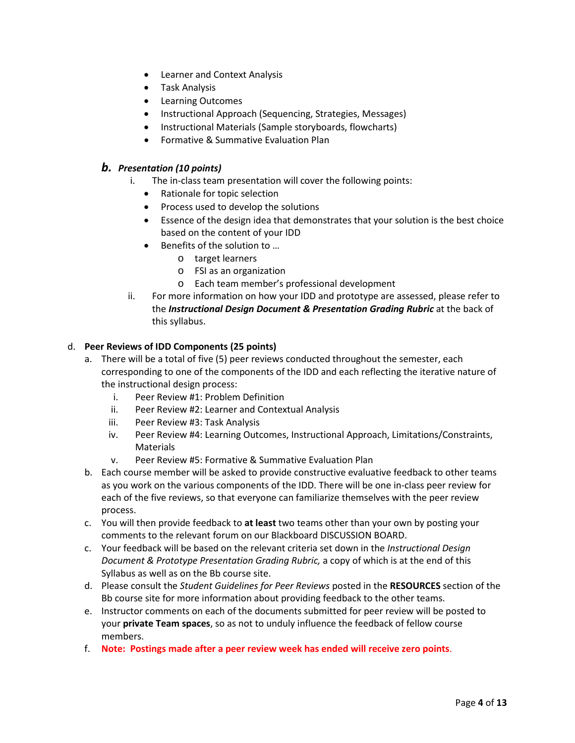- Learner and Context Analysis
- Task Analysis
- Learning Outcomes
- Instructional Approach (Sequencing, Strategies, Messages)
- Instructional Materials (Sample storyboards, flowcharts)
- Formative & Summative Evaluation Plan

## *b. Presentation (10 points)*

- i. The in-class team presentation will cover the following points:
	- Rationale for topic selection
	- Process used to develop the solutions
	- Essence of the design idea that demonstrates that your solution is the best choice based on the content of your IDD
	- Benefits of the solution to …
		- o target learners
		- o FSI as an organization
		- o Each team member's professional development
- ii. For more information on how your IDD and prototype are assessed, please refer to the *Instructional Design Document & Presentation Grading Rubric* at the back of this syllabus.

### d. **Peer Reviews of IDD Components (25 points)**

- a. There will be a total of five (5) peer reviews conducted throughout the semester, each corresponding to one of the components of the IDD and each reflecting the iterative nature of the instructional design process:
	- i. Peer Review #1: Problem Definition
	- ii. Peer Review #2: Learner and Contextual Analysis
	- iii. Peer Review #3: Task Analysis
	- iv. Peer Review #4: Learning Outcomes, Instructional Approach, Limitations/Constraints, Materials
	- v. Peer Review #5: Formative & Summative Evaluation Plan
- b. Each course member will be asked to provide constructive evaluative feedback to other teams as you work on the various components of the IDD. There will be one in-class peer review for each of the five reviews, so that everyone can familiarize themselves with the peer review process.
- c. You will then provide feedback to **at least** two teams other than your own by posting your comments to the relevant forum on our Blackboard DISCUSSION BOARD.
- c. Your feedback will be based on the relevant criteria set down in the *Instructional Design Document & Prototype Presentation Grading Rubric,* a copy of which is at the end of this Syllabus as well as on the Bb course site.
- d. Please consult the *Student Guidelines for Peer Reviews* posted in the **RESOURCES** section of the Bb course site for more information about providing feedback to the other teams.
- e. Instructor comments on each of the documents submitted for peer review will be posted to your **private Team spaces**, so as not to unduly influence the feedback of fellow course members.
- f. **Note: Postings made after a peer review week has ended will receive zero points**.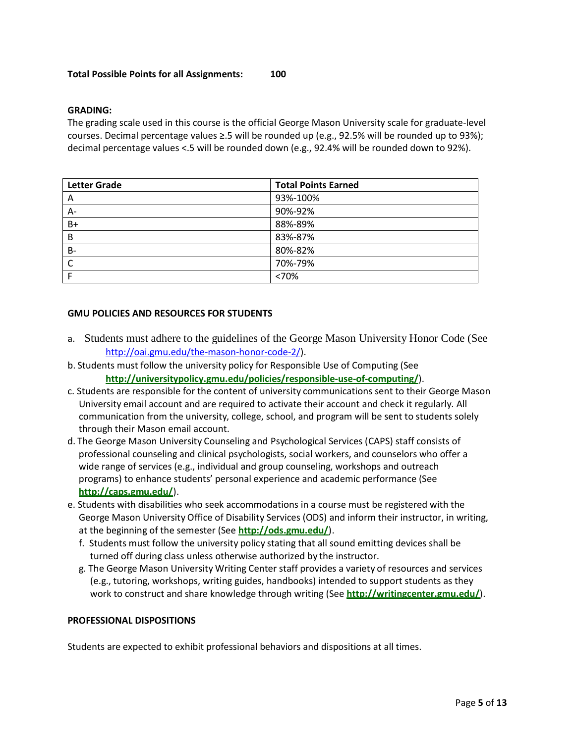#### **Total Possible Points for all Assignments: 100**

#### **GRADING:**

The grading scale used in this course is the official George Mason University scale for graduate-level courses. Decimal percentage values ≥.5 will be rounded up (e.g., 92.5% will be rounded up to 93%); decimal percentage values <.5 will be rounded down (e.g., 92.4% will be rounded down to 92%).

| <b>Letter Grade</b> | <b>Total Points Earned</b> |
|---------------------|----------------------------|
| A                   | 93%-100%                   |
| $A -$               | 90%-92%                    |
| $B+$                | 88%-89%                    |
| B                   | 83%-87%                    |
| <b>B-</b>           | 80%-82%                    |
| C                   | 70%-79%                    |
|                     | <70%                       |

#### **GMU POLICIES AND RESOURCES FOR STUDENTS**

- a. Students must adhere to the guidelines of the George Mason University Honor Code (See [http://oai.gmu.edu/the-mason-honor-code-2/\)](http://oai.gmu.edu/the-mason-honor-code-2/).
- b. Students must follow the university policy for Responsible Use of Computing (See **http://universitypolicy.gmu.edu/policies/responsible-use-of-computing/**).
- c. Students are responsible for the content of university communications sent to their George Mason University email account and are required to activate their account and check it regularly. All communication from the university, college, school, and program will be sent to students solely through their Mason email account.
- d. The George Mason University Counseling and Psychological Services (CAPS) staff consists of professional counseling and clinical psychologists, social workers, and counselors who offer a wide range of services (e.g., individual and group counseling, workshops and outreach programs) to enhance students' personal experience and academic performance (See **<http://caps.gmu.edu/>**).
- e. Students with disabilities who seek accommodations in a course must be registered with the George Mason University Office of Disability Services (ODS) and inform their instructor, in writing, at the beginning of the semester (See **<http://ods.gmu.edu/>**).
	- f. Students must follow the university policy stating that all sound emitting devices shall be turned off during class unless otherwise authorized by the instructor.
	- g. The George Mason University Writing Center staff provides a variety of resources and services (e.g., tutoring, workshops, writing guides, handbooks) intended to support students as they work to construct and share knowledge through writing (See **<http://writingcenter.gmu.edu/>**).

#### **PROFESSIONAL DISPOSITIONS**

Students are expected to exhibit professional behaviors and dispositions at all times.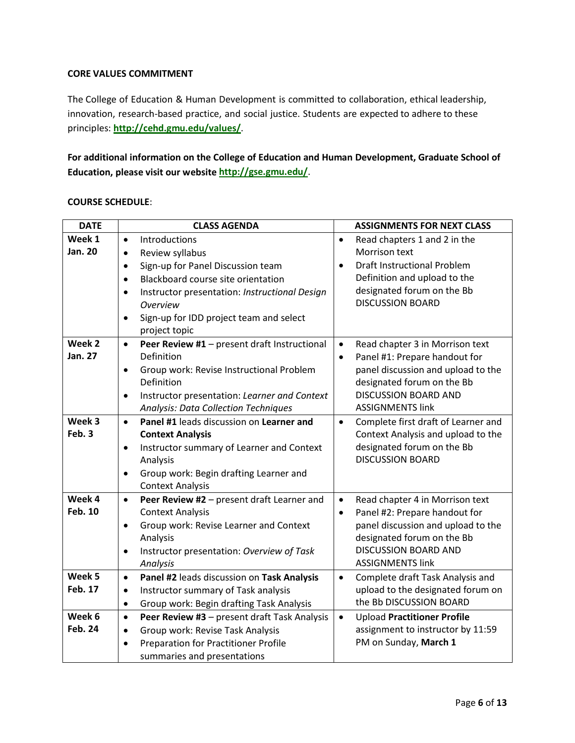### **CORE VALUES COMMITMENT**

The College of Education & Human Development is committed to collaboration, ethical leadership, innovation, research-based practice, and social justice. Students are expected to adhere to these principles: **<http://cehd.gmu.edu/values/>**.

**For additional information on the College of Education and Human Development, Graduate School of Education, please visit our website <http://gse.gmu.edu/>**.

## **COURSE SCHEDULE**:

| <b>DATE</b>       |           | <b>CLASS AGENDA</b>                           |           | <b>ASSIGNMENTS FOR NEXT CLASS</b>   |
|-------------------|-----------|-----------------------------------------------|-----------|-------------------------------------|
| Week 1            | $\bullet$ | Introductions                                 | $\bullet$ | Read chapters 1 and 2 in the        |
| Jan. 20           | $\bullet$ | Review syllabus                               |           | Morrison text                       |
|                   | $\bullet$ | Sign-up for Panel Discussion team             | $\bullet$ | <b>Draft Instructional Problem</b>  |
|                   | $\bullet$ | Blackboard course site orientation            |           | Definition and upload to the        |
|                   | $\bullet$ | Instructor presentation: Instructional Design |           | designated forum on the Bb          |
|                   |           | <b>Overview</b>                               |           | <b>DISCUSSION BOARD</b>             |
|                   | $\bullet$ | Sign-up for IDD project team and select       |           |                                     |
|                   |           | project topic                                 |           |                                     |
| Week <sub>2</sub> | $\bullet$ | Peer Review #1 - present draft Instructional  | $\bullet$ | Read chapter 3 in Morrison text     |
| Jan. 27           |           | Definition                                    | $\bullet$ | Panel #1: Prepare handout for       |
|                   | $\bullet$ | Group work: Revise Instructional Problem      |           | panel discussion and upload to the  |
|                   |           | Definition                                    |           | designated forum on the Bb          |
|                   | $\bullet$ | Instructor presentation: Learner and Context  |           | <b>DISCUSSION BOARD AND</b>         |
|                   |           | <b>Analysis: Data Collection Techniques</b>   |           | <b>ASSIGNMENTS link</b>             |
| Week 3            | $\bullet$ | Panel #1 leads discussion on Learner and      | $\bullet$ | Complete first draft of Learner and |
| Feb. 3            |           | <b>Context Analysis</b>                       |           | Context Analysis and upload to the  |
|                   | $\bullet$ | Instructor summary of Learner and Context     |           | designated forum on the Bb          |
|                   |           | Analysis                                      |           | <b>DISCUSSION BOARD</b>             |
|                   | $\bullet$ | Group work: Begin drafting Learner and        |           |                                     |
|                   |           | <b>Context Analysis</b>                       |           |                                     |
| Week 4            | $\bullet$ | Peer Review #2 - present draft Learner and    | $\bullet$ | Read chapter 4 in Morrison text     |
| Feb. 10           |           | <b>Context Analysis</b>                       | $\bullet$ | Panel #2: Prepare handout for       |
|                   | $\bullet$ | Group work: Revise Learner and Context        |           | panel discussion and upload to the  |
|                   |           | Analysis                                      |           | designated forum on the Bb          |
|                   | $\bullet$ | Instructor presentation: Overview of Task     |           | <b>DISCUSSION BOARD AND</b>         |
|                   |           | Analysis                                      |           | <b>ASSIGNMENTS link</b>             |
| Week 5            | $\bullet$ | Panel #2 leads discussion on Task Analysis    | $\bullet$ | Complete draft Task Analysis and    |
| Feb. 17           | $\bullet$ | Instructor summary of Task analysis           |           | upload to the designated forum on   |
|                   | $\bullet$ | Group work: Begin drafting Task Analysis      |           | the Bb DISCUSSION BOARD             |
| Week 6            | $\bullet$ | Peer Review #3 - present draft Task Analysis  | $\bullet$ | <b>Upload Practitioner Profile</b>  |
| <b>Feb. 24</b>    | $\bullet$ | Group work: Revise Task Analysis              |           | assignment to instructor by 11:59   |
|                   | $\bullet$ | Preparation for Practitioner Profile          |           | PM on Sunday, March 1               |
|                   |           | summaries and presentations                   |           |                                     |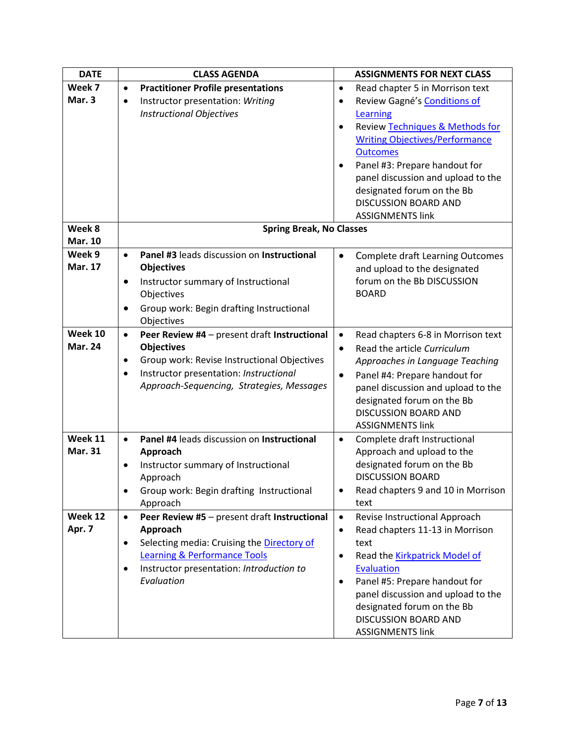| <b>DATE</b><br><b>CLASS AGENDA</b>                                                                                        | <b>ASSIGNMENTS FOR NEXT CLASS</b>       |
|---------------------------------------------------------------------------------------------------------------------------|-----------------------------------------|
| Week 7<br><b>Practitioner Profile presentations</b><br>Read chapter 5 in Morrison text<br>$\bullet$<br>$\bullet$          |                                         |
| Mar. 3<br>Instructor presentation: Writing<br>Review Gagné's Conditions of<br>$\bullet$<br>٠                              |                                         |
| <b>Instructional Objectives</b><br>Learning                                                                               |                                         |
| <b>Review Techniques &amp; Methods for</b><br>$\bullet$                                                                   |                                         |
| <b>Writing Objectives/Performance</b>                                                                                     |                                         |
| <b>Outcomes</b>                                                                                                           |                                         |
| Panel #3: Prepare handout for<br>$\bullet$                                                                                |                                         |
|                                                                                                                           | panel discussion and upload to the      |
| designated forum on the Bb                                                                                                |                                         |
| <b>DISCUSSION BOARD AND</b>                                                                                               |                                         |
| <b>ASSIGNMENTS link</b>                                                                                                   |                                         |
| Week 8<br><b>Spring Break, No Classes</b>                                                                                 |                                         |
| <b>Mar. 10</b>                                                                                                            |                                         |
| Week 9<br>Panel #3 leads discussion on Instructional<br>$\bullet$<br>$\bullet$                                            | <b>Complete draft Learning Outcomes</b> |
| <b>Mar. 17</b><br><b>Objectives</b><br>and upload to the designated                                                       |                                         |
| forum on the Bb DISCUSSION<br>Instructor summary of Instructional<br>$\bullet$                                            |                                         |
| <b>BOARD</b><br>Objectives                                                                                                |                                         |
| Group work: Begin drafting Instructional<br>$\bullet$                                                                     |                                         |
| Objectives                                                                                                                |                                         |
| Week 10<br>Peer Review #4 - present draft Instructional<br>$\bullet$<br>$\bullet$                                         | Read chapters 6-8 in Morrison text      |
| <b>Mar. 24</b><br><b>Objectives</b><br>Read the article Curriculum<br>$\bullet$                                           |                                         |
| Group work: Revise Instructional Objectives<br>Approaches in Language Teaching<br>$\bullet$                               |                                         |
| Instructor presentation: Instructional<br>$\bullet$<br>Panel #4: Prepare handout for<br>$\bullet$                         |                                         |
| Approach-Sequencing, Strategies, Messages                                                                                 | panel discussion and upload to the      |
| designated forum on the Bb                                                                                                |                                         |
| <b>DISCUSSION BOARD AND</b>                                                                                               |                                         |
| <b>ASSIGNMENTS link</b>                                                                                                   |                                         |
| Week 11<br>Panel #4 leads discussion on Instructional<br>Complete draft Instructional<br>$\bullet$<br>٠<br><b>Mar. 31</b> |                                         |
| Approach and upload to the<br>Approach                                                                                    |                                         |
| designated forum on the Bb<br>Instructor summary of Instructional<br>$\bullet$<br><b>DISCUSSION BOARD</b>                 |                                         |
| Approach<br>Group work: Begin drafting Instructional                                                                      |                                         |
| $\bullet$<br>٠<br>Approach<br>text                                                                                        | Read chapters 9 and 10 in Morrison      |
| Week 12<br>Peer Review #5 - present draft Instructional<br>Revise Instructional Approach<br>$\bullet$<br>$\bullet$        |                                         |
| Apr. 7<br>Read chapters 11-13 in Morrison<br>Approach<br>$\bullet$                                                        |                                         |
| Selecting media: Cruising the Directory of<br>text<br>$\bullet$                                                           |                                         |
| <b>Learning &amp; Performance Tools</b><br>Read the Kirkpatrick Model of<br>٠                                             |                                         |
| Instructor presentation: Introduction to<br><b>Evaluation</b><br>$\bullet$                                                |                                         |
| Evaluation<br>Panel #5: Prepare handout for<br>$\bullet$                                                                  |                                         |
|                                                                                                                           | panel discussion and upload to the      |
| designated forum on the Bb                                                                                                |                                         |
| DISCUSSION BOARD AND                                                                                                      |                                         |
| <b>ASSIGNMENTS link</b>                                                                                                   |                                         |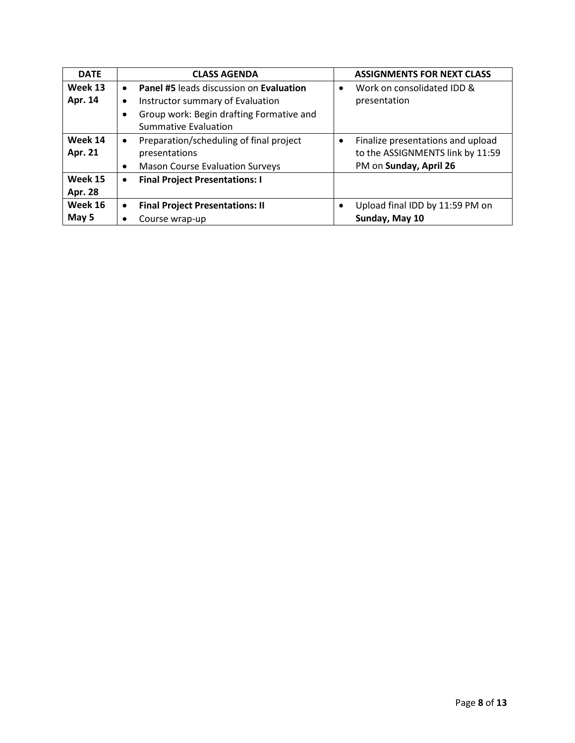| <b>DATE</b>    |           | <b>CLASS AGENDA</b>                            |           | <b>ASSIGNMENTS FOR NEXT CLASS</b> |
|----------------|-----------|------------------------------------------------|-----------|-----------------------------------|
| Week 13        | $\bullet$ | <b>Panel #5 leads discussion on Evaluation</b> | $\bullet$ | Work on consolidated IDD &        |
| Apr. 14        | $\bullet$ | Instructor summary of Evaluation               |           | presentation                      |
|                | $\bullet$ | Group work: Begin drafting Formative and       |           |                                   |
|                |           | <b>Summative Evaluation</b>                    |           |                                   |
| Week 14        | $\bullet$ | Preparation/scheduling of final project        | $\bullet$ | Finalize presentations and upload |
| Apr. 21        |           | presentations                                  |           | to the ASSIGNMENTS link by 11:59  |
|                | $\bullet$ | <b>Mason Course Evaluation Surveys</b>         |           | PM on Sunday, April 26            |
| Week 15        | $\bullet$ | <b>Final Project Presentations: I</b>          |           |                                   |
| <b>Apr. 28</b> |           |                                                |           |                                   |
| Week 16        | $\bullet$ | <b>Final Project Presentations: II</b>         |           | Upload final IDD by 11:59 PM on   |
| May 5          | ٠         | Course wrap-up                                 |           | Sunday, May 10                    |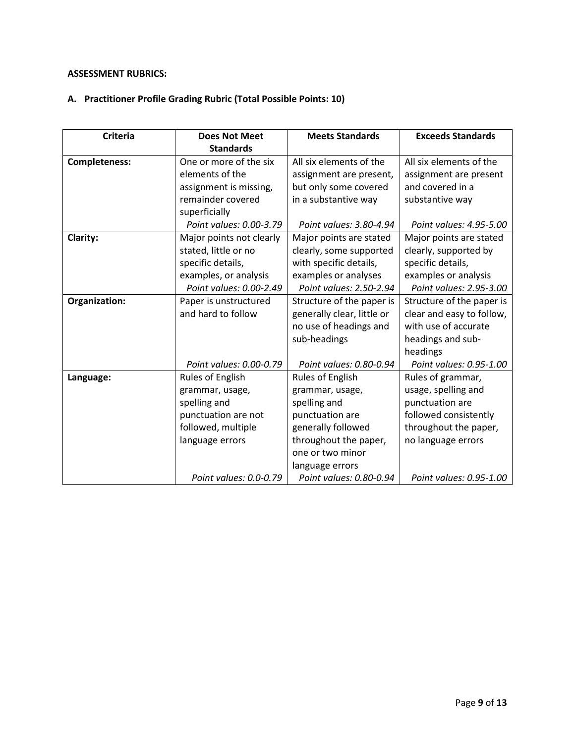# **ASSESSMENT RUBRICS:**

# **A. Practitioner Profile Grading Rubric (Total Possible Points: 10)**

| <b>Criteria</b>      | <b>Does Not Meet</b>     | <b>Meets Standards</b>     | <b>Exceeds Standards</b>  |
|----------------------|--------------------------|----------------------------|---------------------------|
|                      | <b>Standards</b>         |                            |                           |
| <b>Completeness:</b> | One or more of the six   | All six elements of the    | All six elements of the   |
|                      | elements of the          | assignment are present,    | assignment are present    |
|                      | assignment is missing,   | but only some covered      | and covered in a          |
|                      | remainder covered        | in a substantive way       | substantive way           |
|                      | superficially            |                            |                           |
|                      | Point values: 0.00-3.79  | Point values: 3.80-4.94    | Point values: 4.95-5.00   |
| Clarity:             | Major points not clearly | Major points are stated    | Major points are stated   |
|                      | stated, little or no     | clearly, some supported    | clearly, supported by     |
|                      | specific details,        | with specific details,     | specific details,         |
|                      | examples, or analysis    | examples or analyses       | examples or analysis      |
|                      | Point values: 0.00-2.49  | Point values: 2.50-2.94    | Point values: 2.95-3.00   |
| Organization:        | Paper is unstructured    | Structure of the paper is  | Structure of the paper is |
|                      | and hard to follow       | generally clear, little or | clear and easy to follow, |
|                      |                          | no use of headings and     | with use of accurate      |
|                      |                          | sub-headings               | headings and sub-         |
|                      |                          |                            | headings                  |
|                      | Point values: 0.00-0.79  | Point values: 0.80-0.94    | Point values: 0.95-1.00   |
| Language:            | Rules of English         | Rules of English           | Rules of grammar,         |
|                      | grammar, usage,          | grammar, usage,            | usage, spelling and       |
|                      | spelling and             | spelling and               | punctuation are           |
|                      | punctuation are not      | punctuation are            | followed consistently     |
|                      | followed, multiple       | generally followed         | throughout the paper,     |
|                      | language errors          | throughout the paper,      | no language errors        |
|                      |                          | one or two minor           |                           |
|                      |                          | language errors            |                           |
|                      | Point values: 0.0-0.79   | Point values: 0.80-0.94    | Point values: 0.95-1.00   |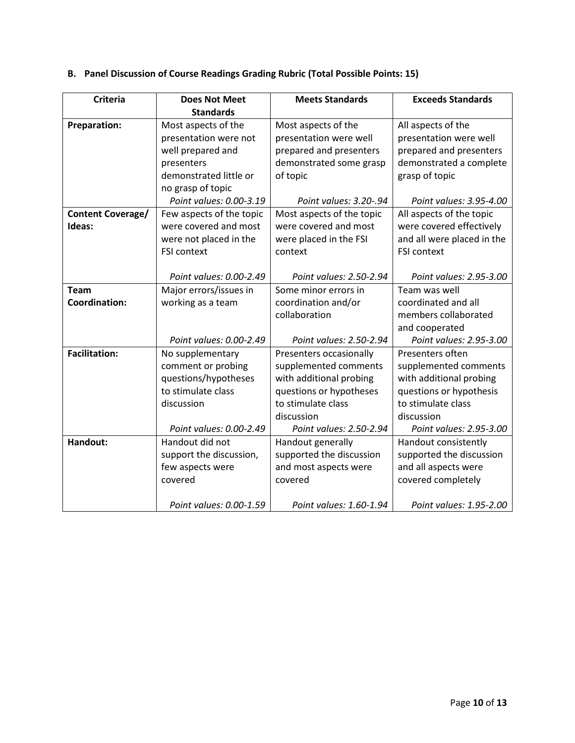| <b>Criteria</b>          | <b>Does Not Meet</b>     | <b>Meets Standards</b>    | <b>Exceeds Standards</b>   |
|--------------------------|--------------------------|---------------------------|----------------------------|
|                          | <b>Standards</b>         |                           |                            |
| <b>Preparation:</b>      | Most aspects of the      | Most aspects of the       | All aspects of the         |
|                          | presentation were not    | presentation were well    | presentation were well     |
|                          | well prepared and        | prepared and presenters   | prepared and presenters    |
|                          | presenters               | demonstrated some grasp   | demonstrated a complete    |
|                          | demonstrated little or   | of topic                  | grasp of topic             |
|                          | no grasp of topic        |                           |                            |
|                          | Point values: 0.00-3.19  | Point values: 3.20-.94    | Point values: 3.95-4.00    |
| <b>Content Coverage/</b> | Few aspects of the topic | Most aspects of the topic | All aspects of the topic   |
| Ideas:                   | were covered and most    | were covered and most     | were covered effectively   |
|                          | were not placed in the   | were placed in the FSI    | and all were placed in the |
|                          | <b>FSI context</b>       | context                   | <b>FSI context</b>         |
|                          |                          |                           |                            |
|                          | Point values: 0.00-2.49  | Point values: 2.50-2.94   | Point values: 2.95-3.00    |
| <b>Team</b>              | Major errors/issues in   | Some minor errors in      | Team was well              |
| Coordination:            | working as a team        | coordination and/or       | coordinated and all        |
|                          |                          | collaboration             | members collaborated       |
|                          |                          |                           | and cooperated             |
|                          | Point values: 0.00-2.49  | Point values: 2.50-2.94   | Point values: 2.95-3.00    |
| <b>Facilitation:</b>     | No supplementary         | Presenters occasionally   | Presenters often           |
|                          | comment or probing       | supplemented comments     | supplemented comments      |
|                          | questions/hypotheses     | with additional probing   | with additional probing    |
|                          | to stimulate class       | questions or hypotheses   | questions or hypothesis    |
|                          | discussion               | to stimulate class        | to stimulate class         |
|                          |                          | discussion                | discussion                 |
|                          | Point values: 0.00-2.49  | Point values: 2.50-2.94   | Point values: 2.95-3.00    |
| Handout:                 | Handout did not          | Handout generally         | Handout consistently       |

supported the discussion and most aspects were

*Point values: 1.60-1.94*

covered

support the discussion, few aspects were

*Point values: 0.00-1.59*

covered

# **B. Panel Discussion of Course Readings Grading Rubric (Total Possible Points: 15)**

supported the discussion and all aspects were covered completely

*Point values: 1.95-2.00*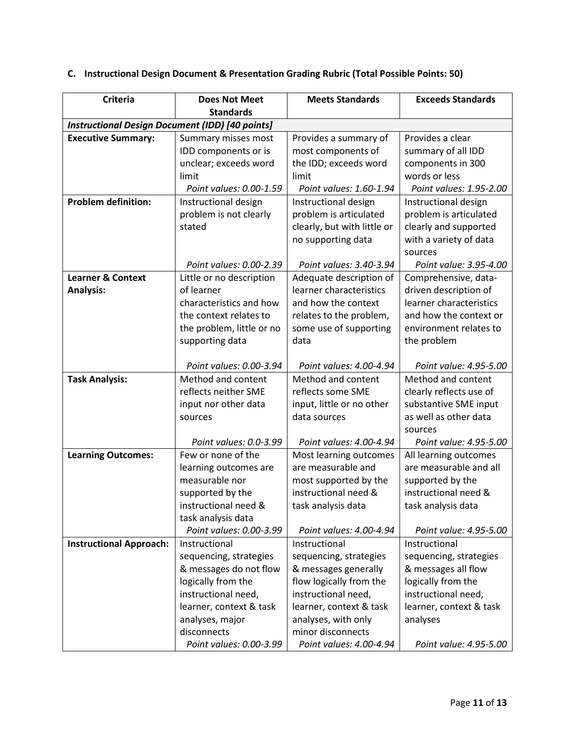| <b>Criteria</b>                                        | <b>Does Not Meet</b>      | <b>Meets Standards</b>      | <b>Exceeds Standards</b> |  |  |  |
|--------------------------------------------------------|---------------------------|-----------------------------|--------------------------|--|--|--|
|                                                        | <b>Standards</b>          |                             |                          |  |  |  |
| <b>Instructional Design Document (IDD) [40 points]</b> |                           |                             |                          |  |  |  |
| <b>Executive Summary:</b>                              | Summary misses most       | Provides a summary of       | Provides a clear         |  |  |  |
|                                                        | IDD components or is      | most components of          | summary of all IDD       |  |  |  |
|                                                        | unclear; exceeds word     | the IDD; exceeds word       | components in 300        |  |  |  |
|                                                        | limit                     | limit                       | words or less            |  |  |  |
|                                                        | Point values: 0.00-1.59   | Point values: 1.60-1.94     | Point values: 1.95-2.00  |  |  |  |
| <b>Problem definition:</b>                             | Instructional design      | Instructional design        | Instructional design     |  |  |  |
|                                                        | problem is not clearly    | problem is articulated      | problem is articulated   |  |  |  |
|                                                        | stated                    | clearly, but with little or | clearly and supported    |  |  |  |
|                                                        |                           | no supporting data          | with a variety of data   |  |  |  |
|                                                        |                           |                             | sources                  |  |  |  |
|                                                        | Point values: 0.00-2.39   | Point values: 3.40-3.94     | Point value: 3.95-4.00   |  |  |  |
| <b>Learner &amp; Context</b>                           | Little or no description  | Adequate description of     | Comprehensive, data-     |  |  |  |
| <b>Analysis:</b>                                       | of learner                | learner characteristics     | driven description of    |  |  |  |
|                                                        | characteristics and how   | and how the context         | learner characteristics  |  |  |  |
|                                                        | the context relates to    | relates to the problem,     | and how the context or   |  |  |  |
|                                                        | the problem, little or no | some use of supporting      | environment relates to   |  |  |  |
|                                                        | supporting data           | data                        | the problem              |  |  |  |
|                                                        |                           |                             |                          |  |  |  |
|                                                        | Point values: 0.00-3.94   | Point values: 4.00-4.94     | Point value: 4.95-5.00   |  |  |  |
| <b>Task Analysis:</b>                                  | Method and content        | Method and content          | Method and content       |  |  |  |
|                                                        | reflects neither SME      | reflects some SME           | clearly reflects use of  |  |  |  |
|                                                        | input nor other data      | input, little or no other   | substantive SME input    |  |  |  |
|                                                        | sources                   | data sources                | as well as other data    |  |  |  |
|                                                        |                           |                             | sources                  |  |  |  |
|                                                        | Point values: 0.0-3.99    | Point values: 4.00-4.94     | Point value: 4.95-5.00   |  |  |  |
| <b>Learning Outcomes:</b>                              | Few or none of the        | Most learning outcomes      | All learning outcomes    |  |  |  |
|                                                        | learning outcomes are     | are measurable and          | are measurable and all   |  |  |  |
|                                                        | measurable nor            | most supported by the       | supported by the         |  |  |  |
|                                                        | supported by the          | instructional need &        | instructional need &     |  |  |  |
|                                                        | instructional need &      | task analysis data          | task analysis data       |  |  |  |
|                                                        | task analysis data        |                             |                          |  |  |  |
|                                                        | Point values: 0.00-3.99   | Point values: 4.00-4.94     | Point value: 4.95-5.00   |  |  |  |
| <b>Instructional Approach:</b>                         | Instructional             | Instructional               | Instructional            |  |  |  |
|                                                        | sequencing, strategies    | sequencing, strategies      | sequencing, strategies   |  |  |  |
|                                                        | & messages do not flow    | & messages generally        | & messages all flow      |  |  |  |
|                                                        | logically from the        | flow logically from the     | logically from the       |  |  |  |
|                                                        | instructional need,       | instructional need,         | instructional need,      |  |  |  |
|                                                        | learner, context & task   | learner, context & task     | learner, context & task  |  |  |  |
|                                                        | analyses, major           | analyses, with only         | analyses                 |  |  |  |
|                                                        | disconnects               | minor disconnects           |                          |  |  |  |
|                                                        | Point values: 0.00-3.99   | Point values: 4.00-4.94     | Point value: 4.95-5.00   |  |  |  |

# **C. Instructional Design Document & Presentation Grading Rubric (Total Possible Points: 50)**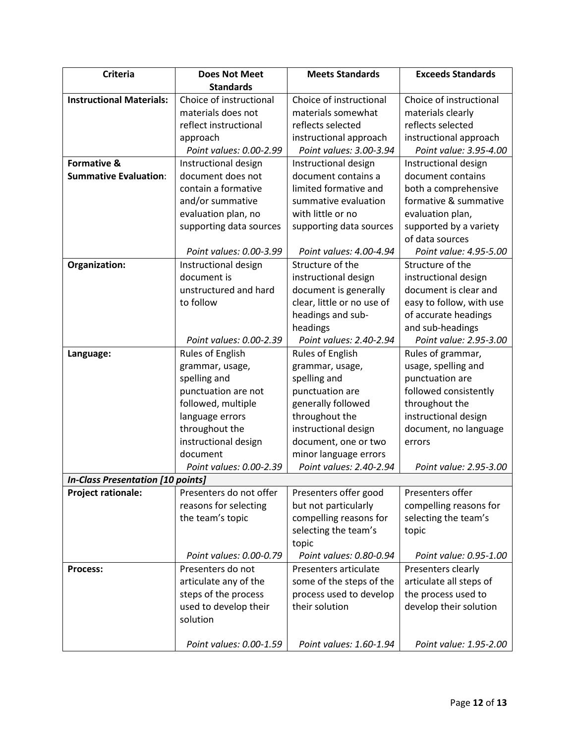| <b>Criteria</b>                          | <b>Does Not Meet</b>    | <b>Meets Standards</b>     | <b>Exceeds Standards</b> |
|------------------------------------------|-------------------------|----------------------------|--------------------------|
|                                          | <b>Standards</b>        |                            |                          |
| <b>Instructional Materials:</b>          | Choice of instructional | Choice of instructional    | Choice of instructional  |
|                                          | materials does not      | materials somewhat         | materials clearly        |
|                                          | reflect instructional   | reflects selected          | reflects selected        |
|                                          | approach                | instructional approach     | instructional approach   |
|                                          | Point values: 0.00-2.99 | Point values: 3.00-3.94    | Point value: 3.95-4.00   |
| <b>Formative &amp;</b>                   | Instructional design    | Instructional design       | Instructional design     |
| <b>Summative Evaluation:</b>             | document does not       | document contains a        | document contains        |
|                                          | contain a formative     | limited formative and      | both a comprehensive     |
|                                          | and/or summative        | summative evaluation       | formative & summative    |
|                                          | evaluation plan, no     | with little or no          | evaluation plan,         |
|                                          | supporting data sources | supporting data sources    | supported by a variety   |
|                                          |                         |                            | of data sources          |
|                                          | Point values: 0.00-3.99 | Point values: 4.00-4.94    | Point value: 4.95-5.00   |
| Organization:                            | Instructional design    | Structure of the           | Structure of the         |
|                                          | document is             | instructional design       | instructional design     |
|                                          | unstructured and hard   | document is generally      | document is clear and    |
|                                          | to follow               | clear, little or no use of | easy to follow, with use |
|                                          |                         | headings and sub-          | of accurate headings     |
|                                          |                         | headings                   | and sub-headings         |
|                                          | Point values: 0.00-2.39 | Point values: 2.40-2.94    | Point value: 2.95-3.00   |
| Language:                                | Rules of English        | Rules of English           | Rules of grammar,        |
|                                          | grammar, usage,         | grammar, usage,            | usage, spelling and      |
|                                          | spelling and            | spelling and               | punctuation are          |
|                                          | punctuation are not     | punctuation are            | followed consistently    |
|                                          | followed, multiple      | generally followed         | throughout the           |
|                                          | language errors         | throughout the             | instructional design     |
|                                          | throughout the          | instructional design       | document, no language    |
|                                          | instructional design    | document, one or two       | errors                   |
|                                          | document                | minor language errors      |                          |
|                                          | Point values: 0.00-2.39 | Point values: 2.40-2.94    | Point value: 2.95-3.00   |
| <b>In-Class Presentation [10 points]</b> |                         |                            |                          |
| <b>Project rationale:</b>                | Presenters do not offer | Presenters offer good      | Presenters offer         |
|                                          | reasons for selecting   | but not particularly       | compelling reasons for   |
|                                          | the team's topic        | compelling reasons for     | selecting the team's     |
|                                          |                         | selecting the team's       | topic                    |
|                                          |                         | topic                      |                          |
|                                          | Point values: 0.00-0.79 | Point values: 0.80-0.94    | Point value: 0.95-1.00   |
| <b>Process:</b>                          | Presenters do not       | Presenters articulate      | Presenters clearly       |
|                                          | articulate any of the   | some of the steps of the   | articulate all steps of  |
|                                          | steps of the process    | process used to develop    | the process used to      |
|                                          | used to develop their   | their solution             | develop their solution   |
|                                          | solution                |                            |                          |
|                                          | Point values: 0.00-1.59 | Point values: 1.60-1.94    | Point value: 1.95-2.00   |